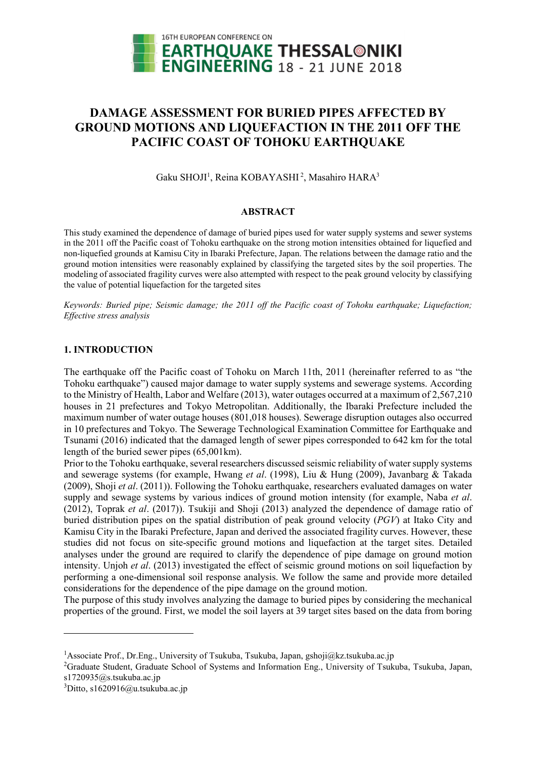

# **DAMAGE ASSESSMENT FOR BURIED PIPES AFFECTED BY GROUND MOTIONS AND LIQUEFACTION IN THE 2011 OFF THE PACIFIC COAST OF TOHOKU EARTHQUAKE**

Gaku SHOJI<sup>1</sup>, Reina KOBAYASHI<sup>2</sup>, Masahiro HARA<sup>3</sup>

# **ABSTRACT**

This study examined the dependence of damage of buried pipes used for water supply systems and sewer systems in the 2011 off the Pacific coast of Tohoku earthquake on the strong motion intensities obtained for liquefied and non-liquefied grounds at Kamisu City in Ibaraki Prefecture, Japan. The relations between the damage ratio and the ground motion intensities were reasonably explained by classifying the targeted sites by the soil properties. The modeling of associated fragility curves were also attempted with respect to the peak ground velocity by classifying the value of potential liquefaction for the targeted sites

*Keywords: Buried pipe; Seismic damage; the 2011 off the Pacific coast of Tohoku earthquake; Liquefaction; Effective stress analysis* 

# **1. INTRODUCTION**

The earthquake off the Pacific coast of Tohoku on March 11th, 2011 (hereinafter referred to as "the Tohoku earthquake") caused major damage to water supply systems and sewerage systems. According to the Ministry of Health, Labor and Welfare (2013), water outages occurred at a maximum of 2,567,210 houses in 21 prefectures and Tokyo Metropolitan. Additionally, the Ibaraki Prefecture included the maximum number of water outage houses (801,018 houses). Sewerage disruption outages also occurred in 10 prefectures and Tokyo. The Sewerage Technological Examination Committee for Earthquake and Tsunami (2016) indicated that the damaged length of sewer pipes corresponded to 642 km for the total length of the buried sewer pipes (65,001km).

Prior to the Tohoku earthquake, several researchers discussed seismic reliability of water supply systems and sewerage systems (for example, Hwang *et al*. (1998), Liu & Hung (2009), Javanbarg & Takada (2009), Shoji *et al*. (2011)). Following the Tohoku earthquake, researchers evaluated damages on water supply and sewage systems by various indices of ground motion intensity (for example, Naba *et al*. (2012), Toprak *et al*. (2017)). Tsukiji and Shoji (2013) analyzed the dependence of damage ratio of buried distribution pipes on the spatial distribution of peak ground velocity (*PGV*) at Itako City and Kamisu City in the Ibaraki Prefecture, Japan and derived the associated fragility curves. However, these studies did not focus on site-specific ground motions and liquefaction at the target sites. Detailed analyses under the ground are required to clarify the dependence of pipe damage on ground motion intensity. Unjoh *et al*. (2013) investigated the effect of seismic ground motions on soil liquefaction by performing a one-dimensional soil response analysis. We follow the same and provide more detailed considerations for the dependence of the pipe damage on the ground motion.

The purpose of this study involves analyzing the damage to buried pipes by considering the mechanical properties of the ground. First, we model the soil layers at 39 target sites based on the data from boring

1

<sup>&</sup>lt;sup>1</sup>Associate Prof., Dr.Eng., University of Tsukuba, Tsukuba, Japan, gshoji@kz.tsukuba.ac.jp

<sup>&</sup>lt;sup>2</sup>Graduate Student, Graduate School of Systems and Information Eng., University of Tsukuba, Tsukuba, Japan, s1720935@s.tsukuba.ac.jp

 $3$ Ditto, s1620916@u.tsukuba.ac.jp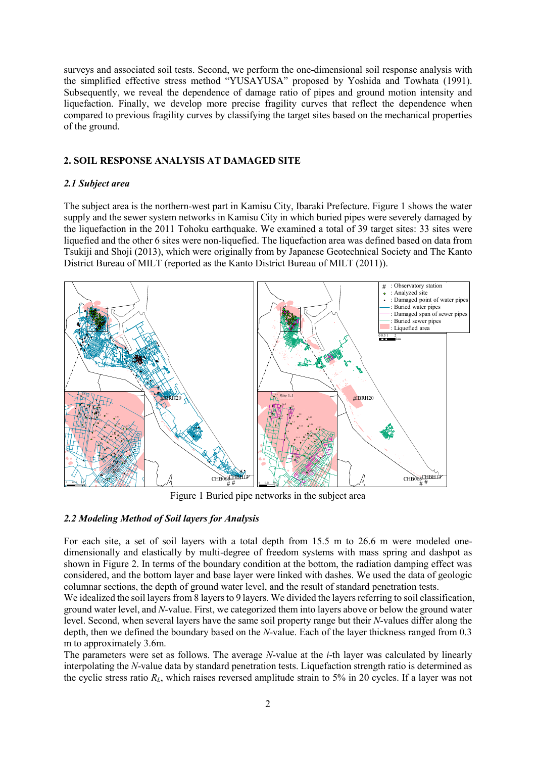surveys and associated soil tests. Second, we perform the one-dimensional soil response analysis with the simplified effective stress method "YUSAYUSA" proposed by Yoshida and Towhata (1991). Subsequently, we reveal the dependence of damage ratio of pipes and ground motion intensity and liquefaction. Finally, we develop more precise fragility curves that reflect the dependence when compared to previous fragility curves by classifying the target sites based on the mechanical properties of the ground.

# **2. SOIL RESPONSE ANALYSIS AT DAMAGED SITE**

# *2.1 Subject area*

The subject area is the northern-west part in Kamisu City, Ibaraki Prefecture. Figure 1 shows the water supply and the sewer system networks in Kamisu City in which buried pipes were severely damaged by the liquefaction in the 2011 Tohoku earthquake. We examined a total of 39 target sites: 33 sites were liquefied and the other 6 sites were non-liquefied. The liquefaction area was defined based on data from Tsukiji and Shoji (2013), which were originally from by Japanese Geotechnical Society and The Kanto District Bureau of MILT (reported as the Kanto District Bureau of MILT (2011)).



Figure 1 Buried pipe networks in the subject area

# *2.2 Modeling Method of Soil layers for Analysis*

For each site, a set of soil layers with a total depth from 15.5 m to 26.6 m were modeled onedimensionally and elastically by multi-degree of freedom systems with mass spring and dashpot as shown in Figure 2. In terms of the boundary condition at the bottom, the radiation damping effect was considered, and the bottom layer and base layer were linked with dashes. We used the data of geologic columnar sections, the depth of ground water level, and the result of standard penetration tests.

We idealized the soil layers from 8 layers to 9 layers. We divided the layers referring to soil classification, ground water level, and *N*-value. First, we categorized them into layers above or below the ground water level. Second, when several layers have the same soil property range but their *N*-values differ along the depth, then we defined the boundary based on the *N*-value. Each of the layer thickness ranged from 0.3 m to approximately 3.6m.

The parameters were set as follows. The average *N*-value at the *i*-th layer was calculated by linearly interpolating the *N*-value data by standard penetration tests. Liquefaction strength ratio is determined as the cyclic stress ratio *RL*, which raises reversed amplitude strain to 5% in 20 cycles. If a layer was not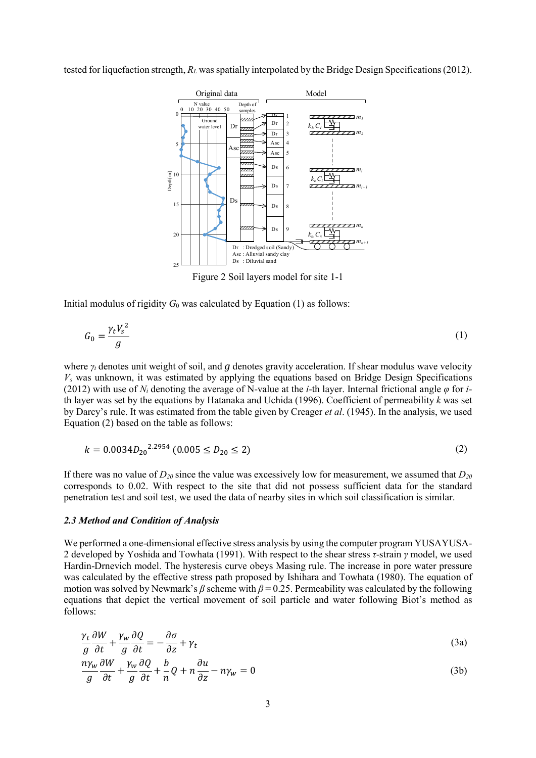tested for liquefaction strength, *RL* was spatially interpolated by the Bridge Design Specifications (2012).



Figure 2 Soil layers model for site 1-1

Initial modulus of rigidity  $G_0$  was calculated by Equation (1) as follows:

$$
G_0 = \frac{\gamma_t V_s^2}{g} \tag{1}
$$

where *γt* denotes unit weight of soil, and *g* denotes gravity acceleration. If shear modulus wave velocity *Vs* was unknown, it was estimated by applying the equations based on Bridge Design Specifications (2012) with use of *Ni* denoting the average of N-value at the *i*-th layer. Internal frictional angle *φ* for *i*th layer was set by the equations by Hatanaka and Uchida (1996). Coefficient of permeability *k* was set by Darcy's rule. It was estimated from the table given by Creager *et al*. (1945). In the analysis, we used Equation (2) based on the table as follows:

$$
k = 0.0034D_{20}^{2.2954} (0.005 \le D_{20} \le 2)
$$
 (2)

If there was no value of  $D_{20}$  since the value was excessively low for measurement, we assumed that  $D_{20}$ corresponds to 0.02. With respect to the site that did not possess sufficient data for the standard penetration test and soil test, we used the data of nearby sites in which soil classification is similar.

#### *2.3 Method and Condition of Analysis*

We performed a one-dimensional effective stress analysis by using the computer program YUSAYUSA-2 developed by Yoshida and Towhata (1991). With respect to the shear stress *τ*-strain *γ* model, we used Hardin-Drnevich model. The hysteresis curve obeys Masing rule. The increase in pore water pressure was calculated by the effective stress path proposed by Ishihara and Towhata (1980). The equation of motion was solved by Newmark's  $\beta$  scheme with  $\beta$  = 0.25. Permeability was calculated by the following equations that depict the vertical movement of soil particle and water following Biot's method as follows:

$$
\frac{\gamma_t}{g} \frac{\partial W}{\partial t} + \frac{\gamma_w}{g} \frac{\partial Q}{\partial t} = -\frac{\partial \sigma}{\partial z} + \gamma_t
$$
\n(3a)

$$
\frac{n\gamma_w}{g}\frac{\partial W}{\partial t} + \frac{\gamma_w}{g}\frac{\partial Q}{\partial t} + \frac{b}{n}Q + n\frac{\partial u}{\partial z} - n\gamma_w = 0
$$
\n(3b)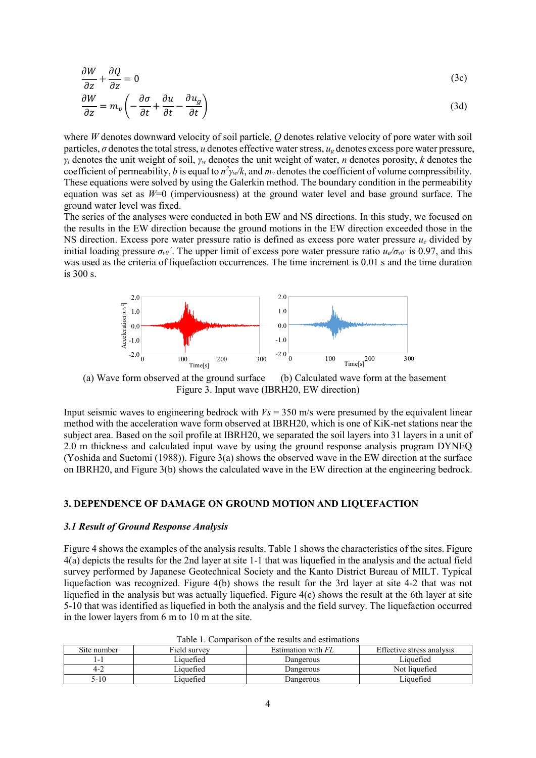$$
\frac{\partial W}{\partial z} + \frac{\partial Q}{\partial z} = 0
$$
\n
$$
\frac{\partial W}{\partial z} = m_v \left( -\frac{\partial \sigma}{\partial t} + \frac{\partial u}{\partial t} - \frac{\partial u_g}{\partial t} \right)
$$
\n(3a)

where *W* denotes downward velocity of soil particle, *Q* denotes relative velocity of pore water with soil particles,  $\sigma$  denotes the total stress, *u* denotes effective water stress,  $u_{\sigma}$  denotes excess pore water pressure, *γt* denotes the unit weight of soil, *γw* denotes the unit weight of water, *n* denotes porosity, *k* denotes the coefficient of permeability, *b* is equal to  $n^2\gamma_w/k$ , and  $m_v$  denotes the coefficient of volume compressibility. These equations were solved by using the Galerkin method. The boundary condition in the permeability equation was set as  $W=0$  (imperviousness) at the ground water level and base ground surface. The ground water level was fixed.

The series of the analyses were conducted in both EW and NS directions. In this study, we focused on the results in the EW direction because the ground motions in the EW direction exceeded those in the NS direction. Excess pore water pressure ratio is defined as excess pore water pressure *ue* divided by initial loading pressure  $\sigma_{\nu 0}$ . The upper limit of excess pore water pressure ratio  $u_e/\sigma_{\nu 0}$  is 0.97, and this was used as the criteria of liquefaction occurrences. The time increment is 0.01 s and the time duration is 300 s.



 (a) Wave form observed at the ground surface (b) Calculated wave form at the basement Figure 3. Input wave (IBRH20, EW direction)

Input seismic waves to engineering bedrock with  $V_s = 350$  m/s were presumed by the equivalent linear method with the acceleration wave form observed at IBRH20, which is one of KiK-net stations near the subject area. Based on the soil profile at IBRH20, we separated the soil layers into 31 layers in a unit of 2.0 m thickness and calculated input wave by using the ground response analysis program DYNEQ (Yoshida and Suetomi (1988)). Figure 3(a) shows the observed wave in the EW direction at the surface on IBRH20, and Figure 3(b) shows the calculated wave in the EW direction at the engineering bedrock.

### **3. DEPENDENCE OF DAMAGE ON GROUND MOTION AND LIQUEFACTION**

## *3.1 Result of Ground Response Analysis*

Figure 4 shows the examples of the analysis results. Table 1 shows the characteristics of the sites. Figure 4(a) depicts the results for the 2nd layer at site 1-1 that was liquefied in the analysis and the actual field survey performed by Japanese Geotechnical Society and the Kanto District Bureau of MILT. Typical liquefaction was recognized. Figure 4(b) shows the result for the 3rd layer at site 4-2 that was not liquefied in the analysis but was actually liquefied. Figure 4(c) shows the result at the 6th layer at site 5-10 that was identified as liquefied in both the analysis and the field survey. The liquefaction occurred in the lower layers from 6 m to 10 m at the site.

| TWOTO T. COMMONITOUR OF THE FOURTH WHEN CONTINUES. |              |                    |                           |  |
|----------------------------------------------------|--------------|--------------------|---------------------------|--|
| Site number                                        | Field survey | Estimation with FL | Effective stress analysis |  |
| i – I                                              | Liauefied    | Dangerous          | Liauefied                 |  |
| $4-2$                                              | Liauefied    | Dangerous          | Not liquefied             |  |
| 5-10                                               | Liauefied    | Dangerous          | Liauefied                 |  |

Table 1. Comparison of the results and estimations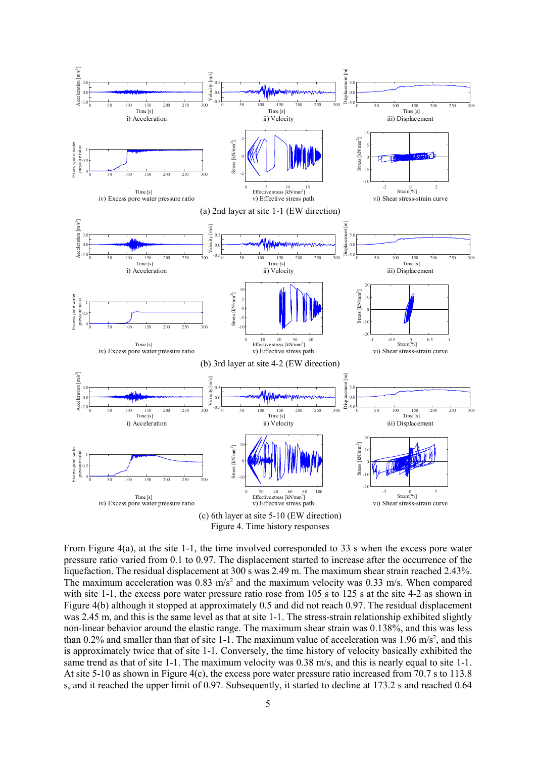

Figure 4. Time history responses

From Figure 4(a), at the site 1-1, the time involved corresponded to 33 s when the excess pore water pressure ratio varied from 0.1 to 0.97. The displacement started to increase after the occurrence of the liquefaction. The residual displacement at 300 s was 2.49 m. The maximum shear strain reached 2.43%. The maximum acceleration was  $0.83 \text{ m/s}^2$  and the maximum velocity was  $0.33 \text{ m/s}$ . When compared with site 1-1, the excess pore water pressure ratio rose from 105 s to 125 s at the site 4-2 as shown in Figure 4(b) although it stopped at approximately 0.5 and did not reach 0.97. The residual displacement was 2.45 m, and this is the same level as that at site 1-1. The stress-strain relationship exhibited slightly non-linear behavior around the elastic range. The maximum shear strain was 0.138%, and this was less than 0.2% and smaller than that of site 1-1. The maximum value of acceleration was 1.96 m/s<sup>2</sup>, and this is approximately twice that of site 1-1. Conversely, the time history of velocity basically exhibited the same trend as that of site 1-1. The maximum velocity was 0.38 m/s, and this is nearly equal to site 1-1. At site 5-10 as shown in Figure 4(c), the excess pore water pressure ratio increased from 70.7 s to 113.8 s, and it reached the upper limit of 0.97. Subsequently, it started to decline at 173.2 s and reached 0.64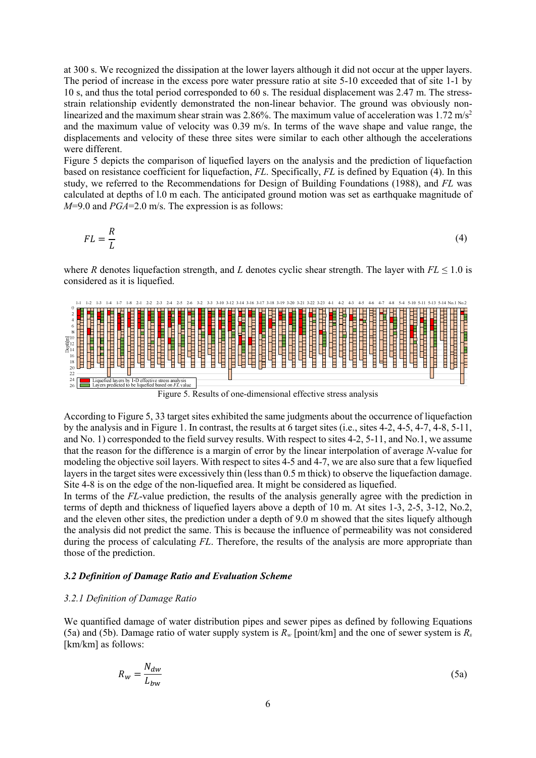at 300 s. We recognized the dissipation at the lower layers although it did not occur at the upper layers. The period of increase in the excess pore water pressure ratio at site 5-10 exceeded that of site 1-1 by 10 s, and thus the total period corresponded to 60 s. The residual displacement was 2.47 m. The stressstrain relationship evidently demonstrated the non-linear behavior. The ground was obviously nonlinearized and the maximum shear strain was 2.86%. The maximum value of acceleration was 1.72 m/s<sup>2</sup> and the maximum value of velocity was 0.39 m/s. In terms of the wave shape and value range, the displacements and velocity of these three sites were similar to each other although the accelerations were different.

Figure 5 depicts the comparison of liquefied layers on the analysis and the prediction of liquefaction based on resistance coefficient for liquefaction, *FL*. Specifically, *FL* is defined by Equation (4). In this study, we referred to the Recommendations for Design of Building Foundations (1988), and *FL* was calculated at depths of l.0 m each. The anticipated ground motion was set as earthquake magnitude of *M*=9.0 and *PGA*=2.0 m/s. The expression is as follows:

$$
FL = \frac{R}{L} \tag{4}
$$

where *R* denotes liquefaction strength, and *L* denotes cyclic shear strength. The layer with  $FL \leq 1.0$  is considered as it is liquefied.



Figure 5. Results of one-dimensional effective stress analysis

According to Figure 5, 33 target sites exhibited the same judgments about the occurrence of liquefaction by the analysis and in Figure 1. In contrast, the results at 6 target sites (i.e., sites 4-2, 4-5, 4-7, 4-8, 5-11, and No. 1) corresponded to the field survey results. With respect to sites 4-2, 5-11, and No.1, we assume that the reason for the difference is a margin of error by the linear interpolation of average *N*-value for modeling the objective soil layers. With respect to sites 4-5 and 4-7, we are also sure that a few liquefied layers in the target sites were excessively thin (less than 0.5 m thick) to observe the liquefaction damage. Site 4-8 is on the edge of the non-liquefied area. It might be considered as liquefied.

In terms of the *FL*-value prediction, the results of the analysis generally agree with the prediction in terms of depth and thickness of liquefied layers above a depth of 10 m. At sites 1-3, 2-5, 3-12, No.2, and the eleven other sites, the prediction under a depth of 9.0 m showed that the sites liquefy although the analysis did not predict the same. This is because the influence of permeability was not considered during the process of calculating *FL*. Therefore, the results of the analysis are more appropriate than those of the prediction.

#### *3.2 Definition of Damage Ratio and Evaluation Scheme*

#### *3.2.1 Definition of Damage Ratio*

We quantified damage of water distribution pipes and sewer pipes as defined by following Equations (5a) and (5b). Damage ratio of water supply system is  $R_w$  [point/km] and the one of sewer system is  $R_s$ [km/km] as follows:

$$
R_w = \frac{N_{dw}}{L_{bw}}
$$
(5a)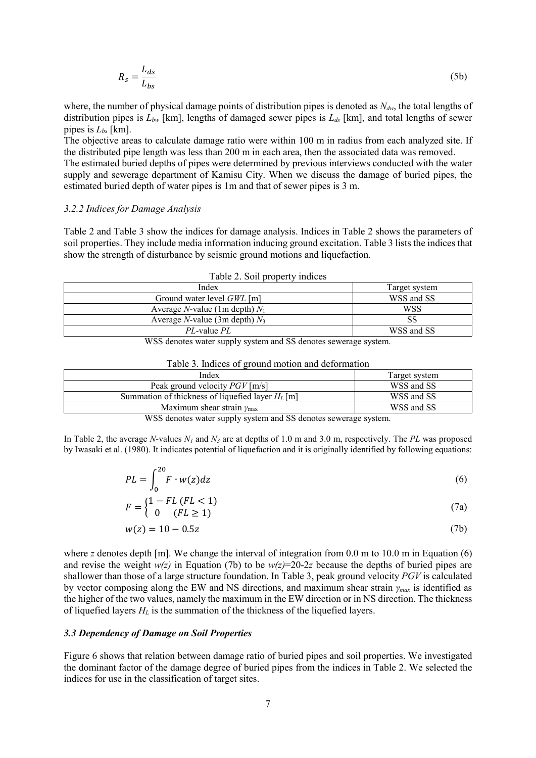$$
R_s = \frac{L_{ds}}{L_{bs}}\tag{5b}
$$

where, the number of physical damage points of distribution pipes is denoted as  $N_{dw}$ , the total lengths of distribution pipes is *Lbw* [km], lengths of damaged sewer pipes is *Lds* [km], and total lengths of sewer pipes is *Lbs* [km].

The objective areas to calculate damage ratio were within 100 m in radius from each analyzed site. If the distributed pipe length was less than 200 m in each area, then the associated data was removed.

The estimated buried depths of pipes were determined by previous interviews conducted with the water supply and sewerage department of Kamisu City. When we discuss the damage of buried pipes, the estimated buried depth of water pipes is 1m and that of sewer pipes is 3 m.

### *3.2.2 Indices for Damage Analysis*

Table 2 and Table 3 show the indices for damage analysis. Indices in Table 2 shows the parameters of soil properties. They include media information inducing ground excitation. Table 3 lists the indices that show the strength of disturbance by seismic ground motions and liquefaction.

| $1.0019 - 1.0011 - 0.0001$               |               |  |
|------------------------------------------|---------------|--|
| Index                                    | Target system |  |
| Ground water level $GWL$ [m]             | WSS and SS    |  |
| Average <i>N</i> -value (1m depth) $N_1$ | WSS           |  |
| Average <i>N</i> -value (3m depth) $N_3$ |               |  |
| <i>PL</i> -value <i>PL</i>               | WSS and SS    |  |

WSS denotes water supply system and SS denotes sewerage system.

#### Table 3. Indices of ground motion and deformation

| Index                                              | Target system |
|----------------------------------------------------|---------------|
| Peak ground velocity $PGV$ [m/s]                   | WSS and SS    |
| Summation of thickness of liquefied layer $H_L[m]$ | WSS and SS    |
| Maximum shear strain $\gamma_{\text{max}}$         | WSS and SS    |
| $\sim$ $\sim$ $\sim$                               |               |

WSS denotes water supply system and SS denotes sewerage system.

In Table 2, the average *N*-values  $N_l$  and  $N_3$  are at depths of 1.0 m and 3.0 m, respectively. The *PL* was proposed by Iwasaki et al. (1980). It indicates potential of liquefaction and it is originally identified by following equations:

$$
PL = \int_0^{20} F \cdot w(z) dz \tag{6}
$$

$$
F = \begin{cases} 1 - FL\left( FL < 1\right) \\ 0 & \left( FL \ge 1\right) \end{cases} \tag{7a}
$$

$$
w(z) = 10 - 0.5z \tag{7b}
$$

where *z* denotes depth [m]. We change the interval of integration from  $0.0$  m to  $10.0$  m in Equation (6) and revise the weight  $w(z)$  in Equation (7b) to be  $w(z)=20-2z$  because the depths of buried pipes are shallower than those of a large structure foundation. In Table 3, peak ground velocity *PGV* is calculated by vector composing along the EW and NS directions, and maximum shear strain *γmax* is identified as the higher of the two values, namely the maximum in the EW direction or in NS direction. The thickness of liquefied layers *HL* is the summation of the thickness of the liquefied layers.

#### *3.3 Dependency of Damage on Soil Properties*

Figure 6 shows that relation between damage ratio of buried pipes and soil properties. We investigated the dominant factor of the damage degree of buried pipes from the indices in Table 2. We selected the indices for use in the classification of target sites.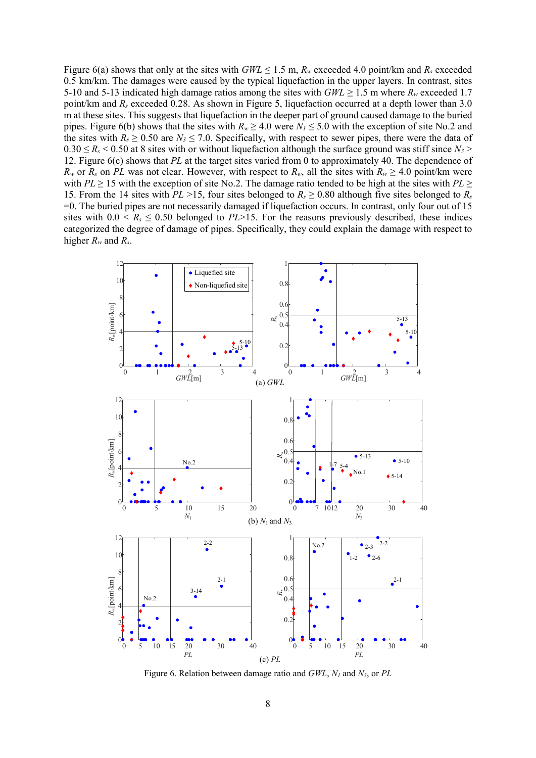Figure 6(a) shows that only at the sites with  $GWL \le 1.5$  m,  $R_w$  exceeded 4.0 point/km and  $R_s$  exceeded 0.5 km/km. The damages were caused by the typical liquefaction in the upper layers. In contrast, sites 5-10 and 5-13 indicated high damage ratios among the sites with  $GWL \ge 1.5$  m where  $R_w$  exceeded 1.7 point/km and *Rs* exceeded 0.28. As shown in Figure 5, liquefaction occurred at a depth lower than 3.0 m at these sites. This suggests that liquefaction in the deeper part of ground caused damage to the buried pipes. Figure 6(b) shows that the sites with  $R_w \ge 4.0$  were  $N_l \le 5.0$  with the exception of site No.2 and the sites with  $R_s \ge 0.50$  are  $N_3 \le 7.0$ . Specifically, with respect to sewer pipes, there were the data of  $0.30 \le R_s < 0.50$  at 8 sites with or without liquefaction although the surface ground was stiff since  $N_3$ 12. Figure 6(c) shows that *PL* at the target sites varied from 0 to approximately 40. The dependence of  $R_w$  or  $R_s$  on *PL* was not clear. However, with respect to  $R_w$ , all the sites with  $R_w \geq 4.0$  point/km were with *PL*  $\geq$  15 with the exception of site No.2. The damage ratio tended to be high at the sites with *PL*  $\geq$ 15. From the 14 sites with *PL* >15, four sites belonged to  $R_s \ge 0.80$  although five sites belonged to  $R_s$ =0. The buried pipes are not necessarily damaged if liquefaction occurs. In contrast, only four out of 15 sites with  $0.0 \le R_s \le 0.50$  belonged to *PL*>15. For the reasons previously described, these indices categorized the degree of damage of pipes. Specifically, they could explain the damage with respect to higher *Rw* and *Rs*.



Figure 6. Relation between damage ratio and *GWL*, *N1* and *N3*, or *PL*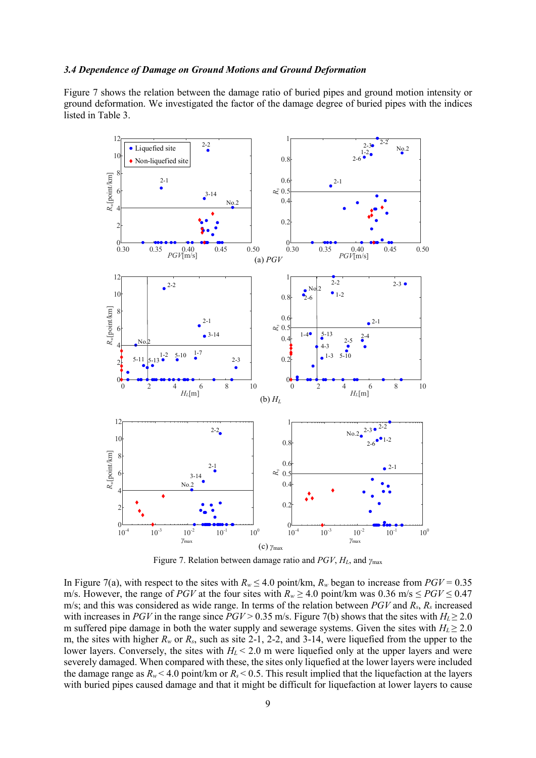### *3.4 Dependence of Damage on Ground Motions and Ground Deformation*

Figure 7 shows the relation between the damage ratio of buried pipes and ground motion intensity or ground deformation. We investigated the factor of the damage degree of buried pipes with the indices listed in Table 3.



Figure 7. Relation between damage ratio and *PGV*, *HL*, and *γ*max

In Figure 7(a), with respect to the sites with  $R_w \le 4.0$  point/km,  $R_w$  began to increase from  $PGV = 0.35$ m/s. However, the range of *PGV* at the four sites with  $R_w \ge 4.0$  point/km was 0.36 m/s  $\le PGV \le 0.47$ m/s; and this was considered as wide range. In terms of the relation between *PGV* and *Rs*, *Rs* increased with increases in *PGV* in the range since *PGV* > 0.35 m/s. Figure 7(b) shows that the sites with  $H_L \ge 2.0$ m suffered pipe damage in both the water supply and sewerage systems. Given the sites with  $H_L \geq 2.0$ m, the sites with higher *Rw* or *Rs*, such as site 2-1, 2-2, and 3-14, were liquefied from the upper to the lower layers. Conversely, the sites with  $H_L < 2.0$  m were liquefied only at the upper layers and were severely damaged. When compared with these, the sites only liquefied at the lower layers were included the damage range as  $R_w < 4.0$  point/km or  $R_s < 0.5$ . This result implied that the liquefaction at the layers with buried pipes caused damage and that it might be difficult for liquefaction at lower layers to cause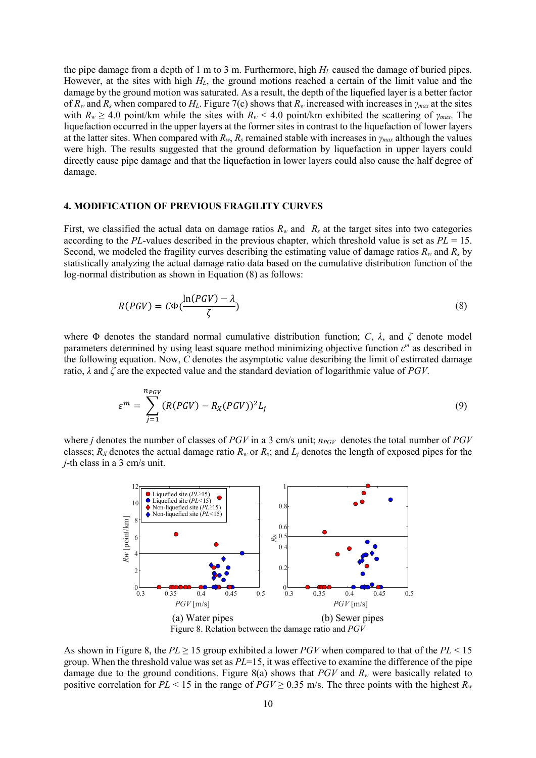the pipe damage from a depth of 1 m to 3 m. Furthermore, high *HL* caused the damage of buried pipes. However, at the sites with high *HL*, the ground motions reached a certain of the limit value and the damage by the ground motion was saturated. As a result, the depth of the liquefied layer is a better factor of *Rw* and *Rs* when compared to *HL*. Figure 7(c) shows that *Rw* increased with increases in *γmax* at the sites with  $R_w \geq 4.0$  point/km while the sites with  $R_w \leq 4.0$  point/km exhibited the scattering of  $\gamma_{max}$ . The liquefaction occurred in the upper layers at the former sites in contrast to the liquefaction of lower layers at the latter sites. When compared with  $R_w$ ,  $R_s$  remained stable with increases in  $\gamma_{max}$  although the values were high. The results suggested that the ground deformation by liquefaction in upper layers could directly cause pipe damage and that the liquefaction in lower layers could also cause the half degree of damage.

#### **4. MODIFICATION OF PREVIOUS FRAGILITY CURVES**

First, we classified the actual data on damage ratios  $R_w$  and  $R_s$  at the target sites into two categories according to the *PL*-values described in the previous chapter, which threshold value is set as *PL* = 15. Second, we modeled the fragility curves describing the estimating value of damage ratios  $R_w$  and  $R_s$  by statistically analyzing the actual damage ratio data based on the cumulative distribution function of the log-normal distribution as shown in Equation (8) as follows:

$$
R(PGV) = C\Phi(\frac{\ln(PGV) - \lambda}{\zeta})
$$
\n(8)

where Φ denotes the standard normal cumulative distribution function; *C*, *λ*, and *ζ* denote model parameters determined by using least square method minimizing objective function *ε <sup>m</sup>* as described in the following equation. Now, *C* denotes the asymptotic value describing the limit of estimated damage ratio, *λ* and *ζ* are the expected value and the standard deviation of logarithmic value of *PGV*.

$$
\varepsilon^{m} = \sum_{j=1}^{n_{PGV}} (R(PGV) - R_X(PGV))^2 L_j
$$
\n(9)

where *j* denotes the number of classes of *PGV* in a 3 cm/s unit;  $n_{PGV}$  denotes the total number of *PGV* classes;  $R_X$  denotes the actual damage ratio  $R_w$  or  $R_s$ ; and  $L_i$  denotes the length of exposed pipes for the *j*-th class in a 3 cm/s unit.



As shown in Figure 8, the  $PL \ge 15$  group exhibited a lower  $PGV$  when compared to that of the  $PL < 15$ group. When the threshold value was set as *PL*=15, it was effective to examine the difference of the pipe damage due to the ground conditions. Figure 8(a) shows that *PGV* and  $R_w$  were basically related to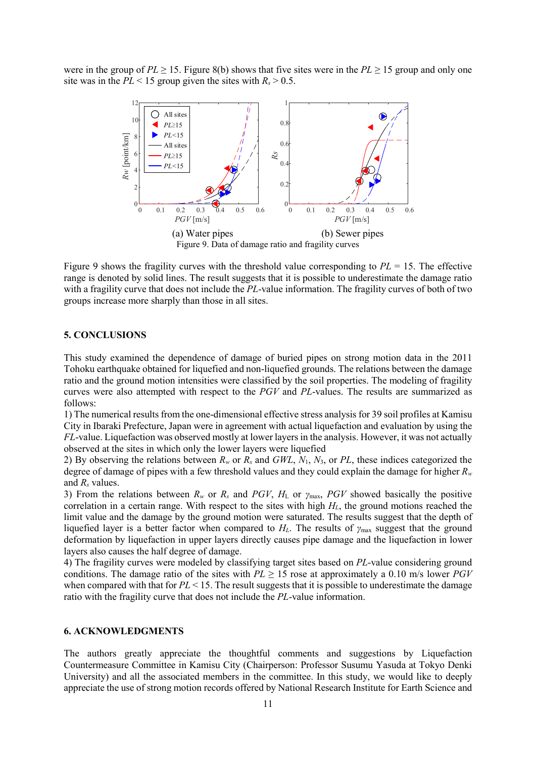were in the group of  $PL \ge 15$ . Figure 8(b) shows that five sites were in the  $PL \ge 15$  group and only one site was in the  $PL < 15$  group given the sites with  $R_s > 0.5$ .



Figure 9 shows the fragility curves with the threshold value corresponding to *PL* = 15. The effective range is denoted by solid lines. The result suggests that it is possible to underestimate the damage ratio with a fragility curve that does not include the *PL*-value information. The fragility curves of both of two groups increase more sharply than those in all sites.

# **5. CONCLUSIONS**

This study examined the dependence of damage of buried pipes on strong motion data in the 2011 Tohoku earthquake obtained for liquefied and non-liquefied grounds. The relations between the damage ratio and the ground motion intensities were classified by the soil properties. The modeling of fragility curves were also attempted with respect to the *PGV* and *PL*-values. The results are summarized as follows:

1) The numerical results from the one-dimensional effective stress analysis for 39 soil profiles at Kamisu City in Ibaraki Prefecture, Japan were in agreement with actual liquefaction and evaluation by using the *FL*-value. Liquefaction was observed mostly at lower layers in the analysis. However, it was not actually observed at the sites in which only the lower layers were liquefied

2) By observing the relations between *Rw* or *Rs* and *GWL*, *N*1, *N*3, or *PL*, these indices categorized the degree of damage of pipes with a few threshold values and they could explain the damage for higher *Rw* and *Rs* values.

3) From the relations between  $R_w$  or  $R_s$  and  $PGV$ ,  $H_L$  or  $\gamma_{\text{max}}$ ,  $PGV$  showed basically the positive correlation in a certain range. With respect to the sites with high *HL*, the ground motions reached the limit value and the damage by the ground motion were saturated. The results suggest that the depth of liquefied layer is a better factor when compared to  $H_L$ . The results of  $\gamma_{\text{max}}$  suggest that the ground deformation by liquefaction in upper layers directly causes pipe damage and the liquefaction in lower layers also causes the half degree of damage.

4) The fragility curves were modeled by classifying target sites based on *PL*-value considering ground conditions. The damage ratio of the sites with  $PL \ge 15$  rose at approximately a 0.10 m/s lower  $PGV$ when compared with that for  $PL < 15$ . The result suggests that it is possible to underestimate the damage ratio with the fragility curve that does not include the *PL*-value information.

### **6. ACKNOWLEDGMENTS**

The authors greatly appreciate the thoughtful comments and suggestions by Liquefaction Countermeasure Committee in Kamisu City (Chairperson: Professor Susumu Yasuda at Tokyo Denki University) and all the associated members in the committee. In this study, we would like to deeply appreciate the use of strong motion records offered by National Research Institute for Earth Science and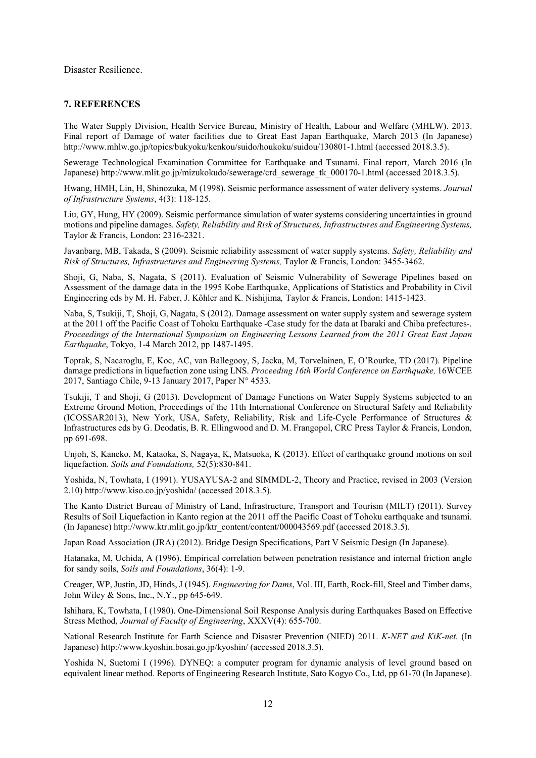Disaster Resilience.

### **7. REFERENCES**

The Water Supply Division, Health Service Bureau, Ministry of Health, Labour and Welfare (MHLW). 2013. Final report of Damage of water facilities due to Great East Japan Earthquake, March 2013 (In Japanese) http://www.mhlw.go.jp/topics/bukyoku/kenkou/suido/houkoku/suidou/130801-1.html (accessed 2018.3.5).

Sewerage Technological Examination Committee for Earthquake and Tsunami. Final report, March 2016 (In Japanese) http://www.mlit.go.jp/mizukokudo/sewerage/crd\_sewerage\_tk\_000170-1.html (accessed 2018.3.5).

Hwang, HMH, Lin, H, Shinozuka, M (1998). Seismic performance assessment of water delivery systems. *Journal of Infrastructure Systems*, 4(3): 118-125.

Liu, GY, Hung, HY (2009). Seismic performance simulation of water systems considering uncertainties in ground motions and pipeline damages. *Safety, Reliability and Risk of Structures, Infrastructures and Engineering Systems,*  Taylor & Francis, London: 2316-2321.

Javanbarg, MB, Takada, S (2009). Seismic reliability assessment of water supply systems. *Safety, Reliability and Risk of Structures, Infrastructures and Engineering Systems,* Taylor & Francis, London: 3455-3462.

Shoji, G, Naba, S, Nagata, S (2011). Evaluation of Seismic Vulnerability of Sewerage Pipelines based on Assessment of the damage data in the 1995 Kobe Earthquake, Applications of Statistics and Probability in Civil Engineering eds by M. H. Faber, J. Kőhler and K. Nishijima*,* Taylor & Francis, London: 1415-1423.

Naba, S, Tsukiji, T, Shoji, G, Nagata, S (2012). Damage assessment on water supply system and sewerage system at the 2011 off the Pacific Coast of Tohoku Earthquake -Case study for the data at Ibaraki and Chiba prefectures-. *Proceedings of the International Symposium on Engineering Lessons Learned from the 2011 Great East Japan Earthquake*, Tokyo, 1-4 March 2012, pp 1487-1495.

Toprak, S, Nacaroglu, E, Koc, AC, van Ballegooy, S, Jacka, M, Torvelainen, E, O'Rourke, TD (2017). Pipeline damage predictions in liquefaction zone using LNS. *Proceeding 16th World Conference on Earthquake,* 16WCEE 2017, Santiago Chile, 9-13 January 2017, Paper N° 4533.

Tsukiji, T and Shoji, G (2013). Development of Damage Functions on Water Supply Systems subjected to an Extreme Ground Motion, Proceedings of the 11th International Conference on Structural Safety and Reliability (ICOSSAR2013), New York, USA, Safety, Reliability, Risk and Life-Cycle Performance of Structures & Infrastructures eds by G. Deodatis, B. R. Ellingwood and D. M. Frangopol, CRC Press Taylor & Francis, London, pp 691-698.

Unjoh, S, Kaneko, M, Kataoka, S, Nagaya, K, Matsuoka, K (2013). Effect of earthquake ground motions on soil liquefaction. *Soils and Foundations,* 52(5):830-841.

Yoshida, N, Towhata, I (1991). YUSAYUSA-2 and SIMMDL-2, Theory and Practice, revised in 2003 (Version 2.10) http://www.kiso.co.jp/yoshida/ (accessed 2018.3.5).

The Kanto District Bureau of Ministry of Land, Infrastructure, Transport and Tourism (MILT) (2011). Survey Results of Soil Liquefaction in Kanto region at the 2011 off the Pacific Coast of Tohoku earthquake and tsunami. (In Japanese) http://www.ktr.mlit.go.jp/ktr\_content/content/000043569.pdf (accessed 2018.3.5).

Japan Road Association (JRA) (2012). Bridge Design Specifications, Part V Seismic Design (In Japanese).

Hatanaka, M, Uchida, A (1996). Empirical correlation between penetration resistance and internal friction angle for sandy soils, *Soils and Foundations*, 36(4): 1-9.

Creager, WP, Justin, JD, Hinds, J (1945). *Engineering for Dams*, Vol. III, Earth, Rock-fill, Steel and Timber dams, John Wiley & Sons, Inc., N.Y., pp 645-649.

Ishihara, K, Towhata, I (1980). One-Dimensional Soil Response Analysis during Earthquakes Based on Effective Stress Method, *Journal of Faculty of Engineering*, XXXV(4): 655-700.

National Research Institute for Earth Science and Disaster Prevention (NIED) 2011. *K-NET and KiK-net.* (In Japanese) http://www.kyoshin.bosai.go.jp/kyoshin/ (accessed 2018.3.5).

Yoshida N, Suetomi I (1996). DYNEQ: a computer program for dynamic analysis of level ground based on equivalent linear method. Reports of Engineering Research Institute, Sato Kogyo Co., Ltd, pp 61-70 (In Japanese).